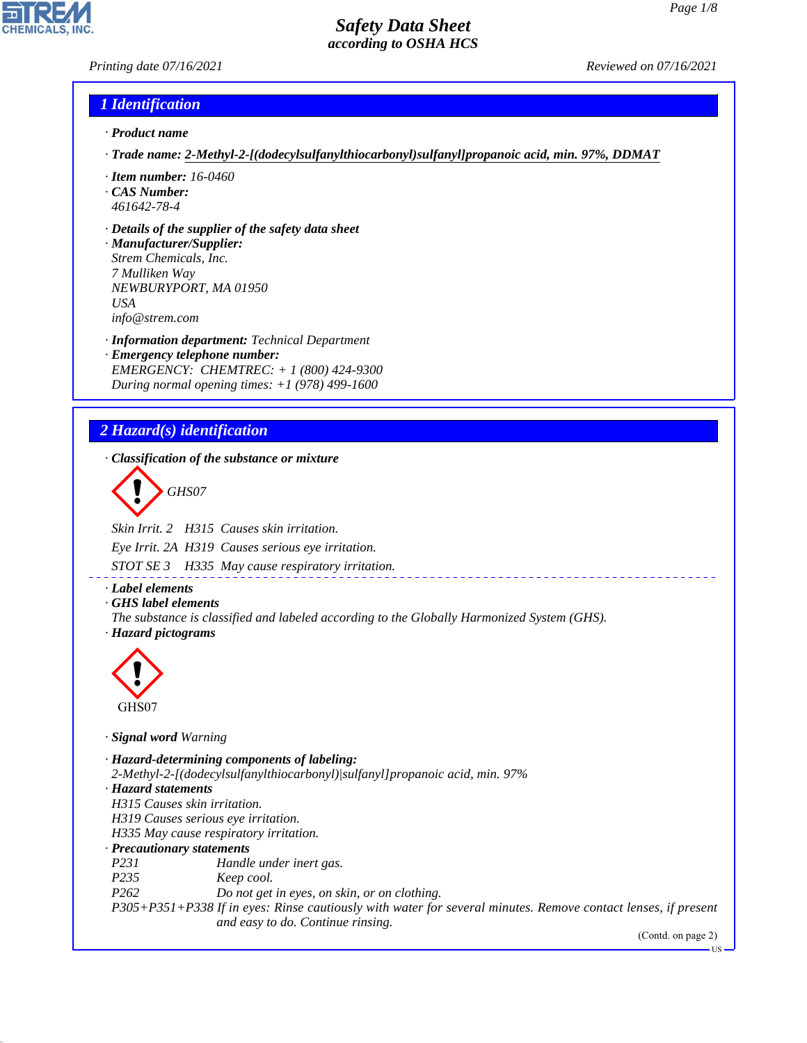## *Printing date 07/16/2021 Reviewed on 07/16/2021*

## *1 Identification*

- *· Product name*
- *· Trade name: 2-Methyl-2-[(dodecylsulfanylthiocarbonyl)sulfanyl]propanoic acid, min. 97%, DDMAT*
- *· Item number: 16-0460*
- *· CAS Number: 461642-78-4*
- *· Details of the supplier of the safety data sheet*

*· Manufacturer/Supplier: Strem Chemicals, Inc. 7 Mulliken Way NEWBURYPORT, MA 01950 USA info@strem.com*

*· Information department: Technical Department · Emergency telephone number: EMERGENCY: CHEMTREC: + 1 (800) 424-9300 During normal opening times: +1 (978) 499-1600*

## *2 Hazard(s) identification*

*· Classification of the substance or mixture*

d~*GHS07*

*Skin Irrit. 2 H315 Causes skin irritation.*

*Eye Irrit. 2A H319 Causes serious eye irritation.*

*STOT SE 3 H335 May cause respiratory irritation.*

- *· Label elements*
- *· GHS label elements*
- *The substance is classified and labeled according to the Globally Harmonized System (GHS). · Hazard pictograms*



44.1.1

*· Signal word Warning*

*· Hazard-determining components of labeling: 2-Methyl-2-[(dodecylsulfanylthiocarbonyl)|sulfanyl]propanoic acid, min. 97% · Hazard statements H315 Causes skin irritation. H319 Causes serious eye irritation. H335 May cause respiratory irritation. · Precautionary statements P231 Handle under inert gas. P235 Keep cool. P262 Do not get in eyes, on skin, or on clothing. P305+P351+P338 If in eyes: Rinse cautiously with water for several minutes. Remove contact lenses, if present and easy to do. Continue rinsing.*

(Contd. on page 2)

US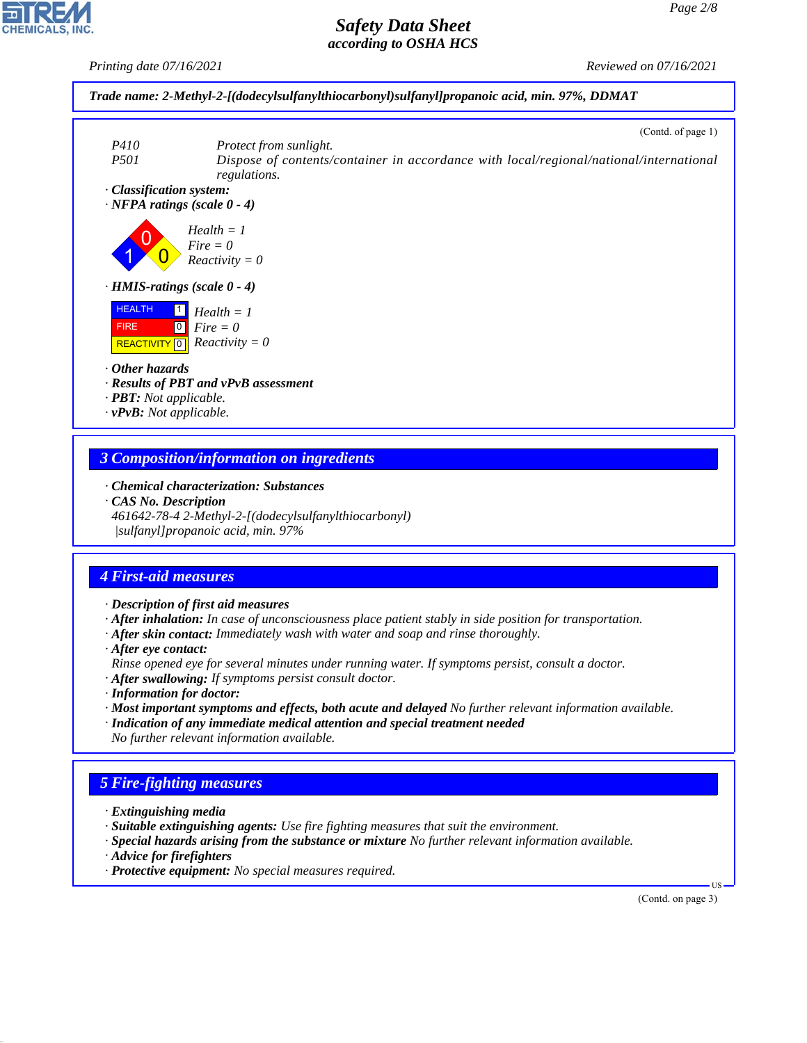

# *3 Composition/information on ingredients*

*· Chemical characterization: Substances*

*· CAS No. Description*

*461642-78-4 2-Methyl-2-[(dodecylsulfanylthiocarbonyl) |sulfanyl]propanoic acid, min. 97%*

### *4 First-aid measures*

*· Description of first aid measures*

*· After inhalation: In case of unconsciousness place patient stably in side position for transportation.*

- *· After skin contact: Immediately wash with water and soap and rinse thoroughly.*
- *· After eye contact:*

*Rinse opened eye for several minutes under running water. If symptoms persist, consult a doctor.*

- *· After swallowing: If symptoms persist consult doctor.*
- *· Information for doctor:*
- *· Most important symptoms and effects, both acute and delayed No further relevant information available.*
- *· Indication of any immediate medical attention and special treatment needed No further relevant information available.*

## *5 Fire-fighting measures*

- *· Extinguishing media*
- *· Suitable extinguishing agents: Use fire fighting measures that suit the environment.*
- *· Special hazards arising from the substance or mixture No further relevant information available.*
- *· Advice for firefighters*

44.1.1

*· Protective equipment: No special measures required.*

(Contd. on page 3)

US

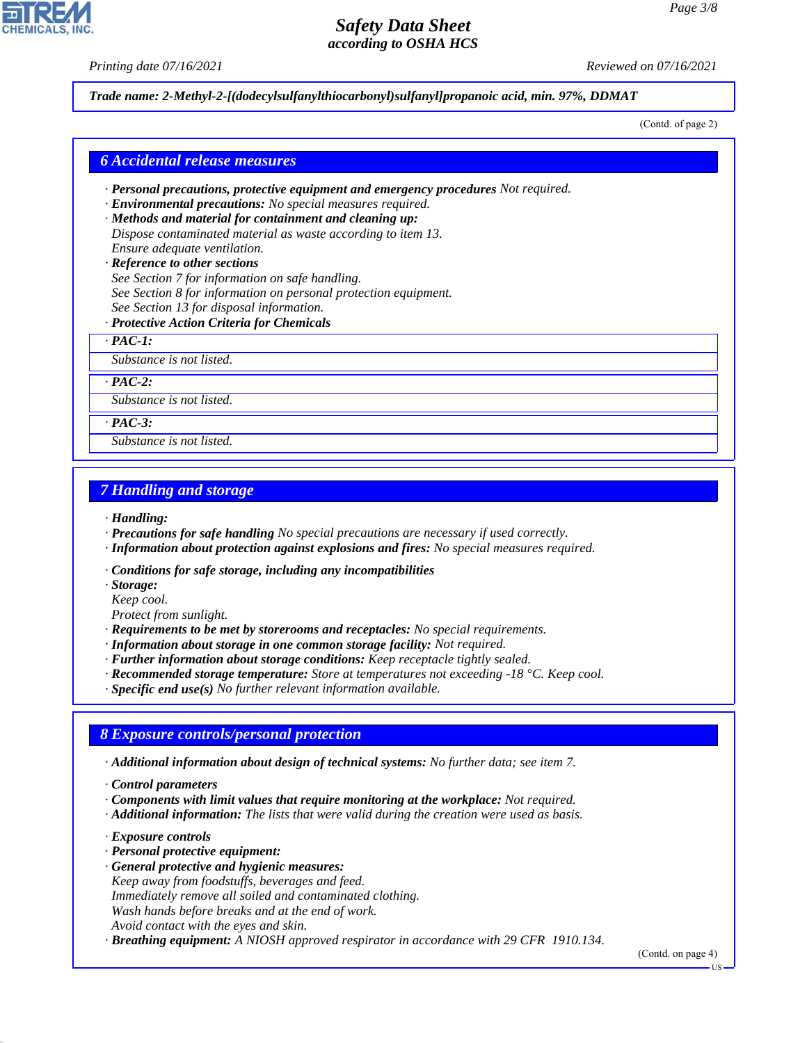*Printing date 07/16/2021 Reviewed on 07/16/2021*

*Trade name: 2-Methyl-2-[(dodecylsulfanylthiocarbonyl)sulfanyl]propanoic acid, min. 97%, DDMAT*

(Contd. of page 2)

#### *6 Accidental release measures*

- *· Personal precautions, protective equipment and emergency procedures Not required.*
- *· Environmental precautions: No special measures required.*
- *· Methods and material for containment and cleaning up: Dispose contaminated material as waste according to item 13. Ensure adequate ventilation.*
- *· Reference to other sections See Section 7 for information on safe handling. See Section 8 for information on personal protection equipment. See Section 13 for disposal information.*
- *· Protective Action Criteria for Chemicals*

*· PAC-1:*

*Substance is not listed.*

*· PAC-2:*

*Substance is not listed.*

*· PAC-3:*

*Substance is not listed.*

### *7 Handling and storage*

*· Handling:*

- *· Precautions for safe handling No special precautions are necessary if used correctly.*
- *· Information about protection against explosions and fires: No special measures required.*
- *· Conditions for safe storage, including any incompatibilities*
- *· Storage:*

*Keep cool.*

*Protect from sunlight.*

*· Requirements to be met by storerooms and receptacles: No special requirements.*

- *· Information about storage in one common storage facility: Not required.*
- *· Further information about storage conditions: Keep receptacle tightly sealed.*
- *· Recommended storage temperature: Store at temperatures not exceeding -18 °C. Keep cool.*

*· Specific end use(s) No further relevant information available.*

## *8 Exposure controls/personal protection*

*· Additional information about design of technical systems: No further data; see item 7.*

- *· Components with limit values that require monitoring at the workplace: Not required.*
- *· Additional information: The lists that were valid during the creation were used as basis.*
- *· Exposure controls*

44.1.1

- *· Personal protective equipment:*
- *· General protective and hygienic measures: Keep away from foodstuffs, beverages and feed.*
- *Immediately remove all soiled and contaminated clothing.*
- *Wash hands before breaks and at the end of work.*
- *Avoid contact with the eyes and skin.*

*· Breathing equipment: A NIOSH approved respirator in accordance with 29 CFR 1910.134.*

(Contd. on page 4)

*<sup>·</sup> Control parameters*

US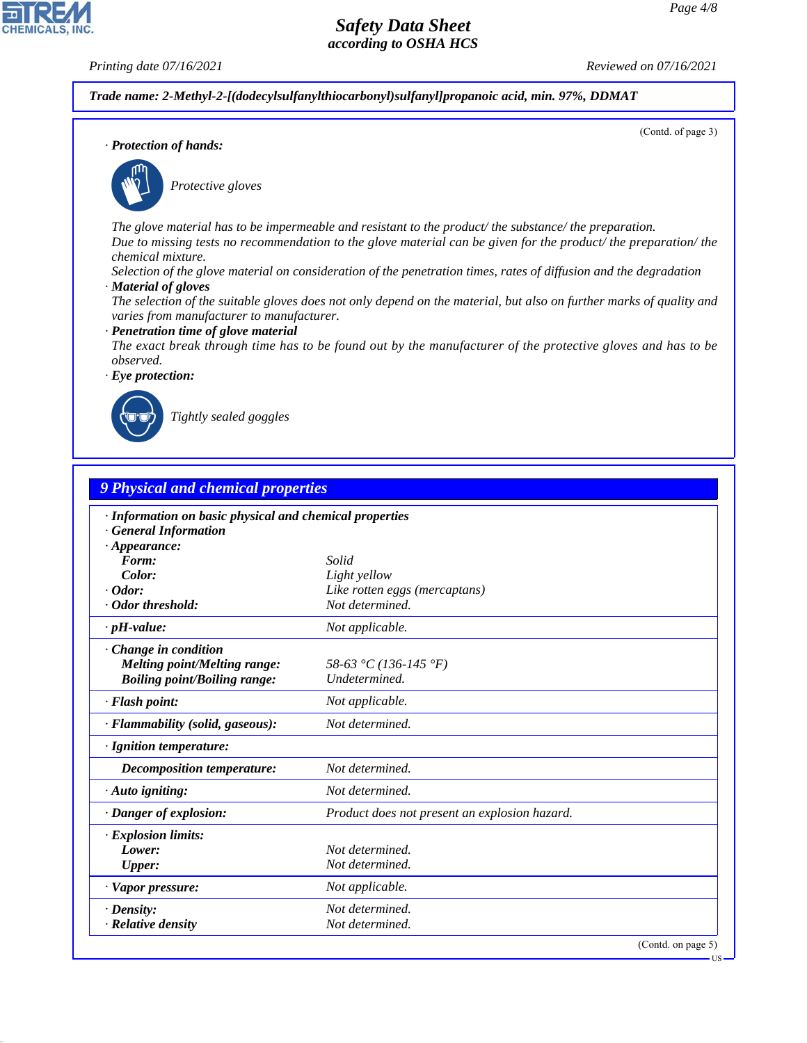(Contd. of page 3)

## *Safety Data Sheet according to OSHA HCS*

**CHEMICALS, INC** 

*Printing date 07/16/2021 Reviewed on 07/16/2021*

*Trade name: 2-Methyl-2-[(dodecylsulfanylthiocarbonyl)sulfanyl]propanoic acid, min. 97%, DDMAT*

*· Protection of hands:*



\_S*Protective gloves*

*The glove material has to be impermeable and resistant to the product/ the substance/ the preparation. Due to missing tests no recommendation to the glove material can be given for the product/ the preparation/ the chemical mixture.*

*Selection of the glove material on consideration of the penetration times, rates of diffusion and the degradation*

*· Material of gloves*

*The selection of the suitable gloves does not only depend on the material, but also on further marks of quality and varies from manufacturer to manufacturer.*

*· Penetration time of glove material*

*The exact break through time has to be found out by the manufacturer of the protective gloves and has to be observed.*

*· Eye protection:*



44.1.1

\_R*Tightly sealed goggles*

| · Information on basic physical and chemical properties<br><b>General Information</b><br>$\cdot$ Appearance:<br>Form:<br>Solid<br>Color:<br>Light yellow<br>$\cdot$ Odor:<br>· Odor threshold:<br>$\cdot$ pH-value: | Like rotten eggs (mercaptans)<br>Not determined.<br>Not applicable. |
|---------------------------------------------------------------------------------------------------------------------------------------------------------------------------------------------------------------------|---------------------------------------------------------------------|
|                                                                                                                                                                                                                     |                                                                     |
|                                                                                                                                                                                                                     |                                                                     |
|                                                                                                                                                                                                                     |                                                                     |
|                                                                                                                                                                                                                     |                                                                     |
|                                                                                                                                                                                                                     |                                                                     |
|                                                                                                                                                                                                                     |                                                                     |
| Change in condition<br><b>Melting point/Melting range:</b><br><b>Boiling point/Boiling range:</b>                                                                                                                   | 58-63 °C (136-145 °F)<br>Undetermined.                              |
| · Flash point:                                                                                                                                                                                                      | Not applicable.                                                     |
| · Flammability (solid, gaseous):                                                                                                                                                                                    | Not determined.                                                     |
| · Ignition temperature:                                                                                                                                                                                             |                                                                     |
| <b>Decomposition temperature:</b>                                                                                                                                                                                   | Not determined.                                                     |
| $\cdot$ Auto igniting:                                                                                                                                                                                              | Not determined.                                                     |
| · Danger of explosion:                                                                                                                                                                                              | Product does not present an explosion hazard.                       |
| · Explosion limits:                                                                                                                                                                                                 |                                                                     |
| Lower:                                                                                                                                                                                                              | Not determined.                                                     |
| <b>Upper:</b>                                                                                                                                                                                                       | Not determined.                                                     |
| · Vapor pressure:                                                                                                                                                                                                   | Not applicable.                                                     |
| $\cdot$ Density:                                                                                                                                                                                                    | Not determined.                                                     |
| · Relative density                                                                                                                                                                                                  | Not determined.                                                     |

**IIS**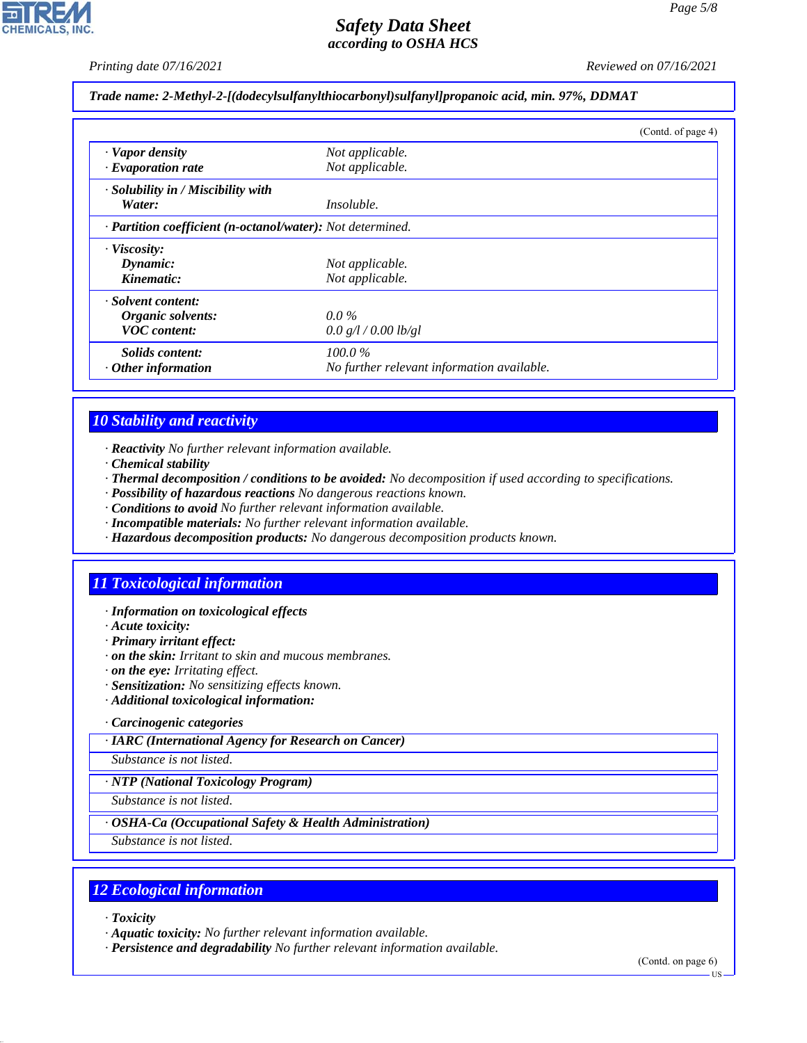*Printing date 07/16/2021 Reviewed on 07/16/2021*

#### *Trade name: 2-Methyl-2-[(dodecylsulfanylthiocarbonyl)sulfanyl]propanoic acid, min. 97%, DDMAT*

|                                                            |                                            | (Contd. of page 4) |
|------------------------------------------------------------|--------------------------------------------|--------------------|
| · Vapor density                                            | Not applicable.                            |                    |
| $\cdot$ Evaporation rate                                   | Not applicable.                            |                    |
| · Solubility in / Miscibility with                         |                                            |                    |
| Water:                                                     | <i>Insoluble.</i>                          |                    |
| · Partition coefficient (n-octanol/water): Not determined. |                                            |                    |
| · Viscosity:                                               |                                            |                    |
| Dynamic:                                                   | Not applicable.                            |                    |
| Kinematic:                                                 | Not applicable.                            |                    |
| · Solvent content:                                         |                                            |                    |
| Organic solvents:                                          | $0.0\%$                                    |                    |
| <b>VOC</b> content:                                        | 0.0 g/l / 0.00 lb/gl                       |                    |
| Solids content:                                            | $100.0\%$                                  |                    |
| $\cdot$ Other information                                  | No further relevant information available. |                    |

## *10 Stability and reactivity*

- *· Reactivity No further relevant information available.*
- *· Chemical stability*
- *· Thermal decomposition / conditions to be avoided: No decomposition if used according to specifications.*
- *· Possibility of hazardous reactions No dangerous reactions known.*
- *· Conditions to avoid No further relevant information available.*
- *· Incompatible materials: No further relevant information available.*
- *· Hazardous decomposition products: No dangerous decomposition products known.*

## *11 Toxicological information*

- *· Information on toxicological effects*
- *· Acute toxicity:*
- *· Primary irritant effect:*
- *· on the skin: Irritant to skin and mucous membranes.*
- *· on the eye: Irritating effect.*
- *· Sensitization: No sensitizing effects known.*
- *· Additional toxicological information:*

#### *· Carcinogenic categories*

*· IARC (International Agency for Research on Cancer)*

*Substance is not listed.*

#### *· NTP (National Toxicology Program)*

*Substance is not listed.*

#### *· OSHA-Ca (Occupational Safety & Health Administration)*

*Substance is not listed.*

## *12 Ecological information*

*· Toxicity*

44.1.1

- *· Aquatic toxicity: No further relevant information available.*
- *· Persistence and degradability No further relevant information available.*

(Contd. on page 6)

US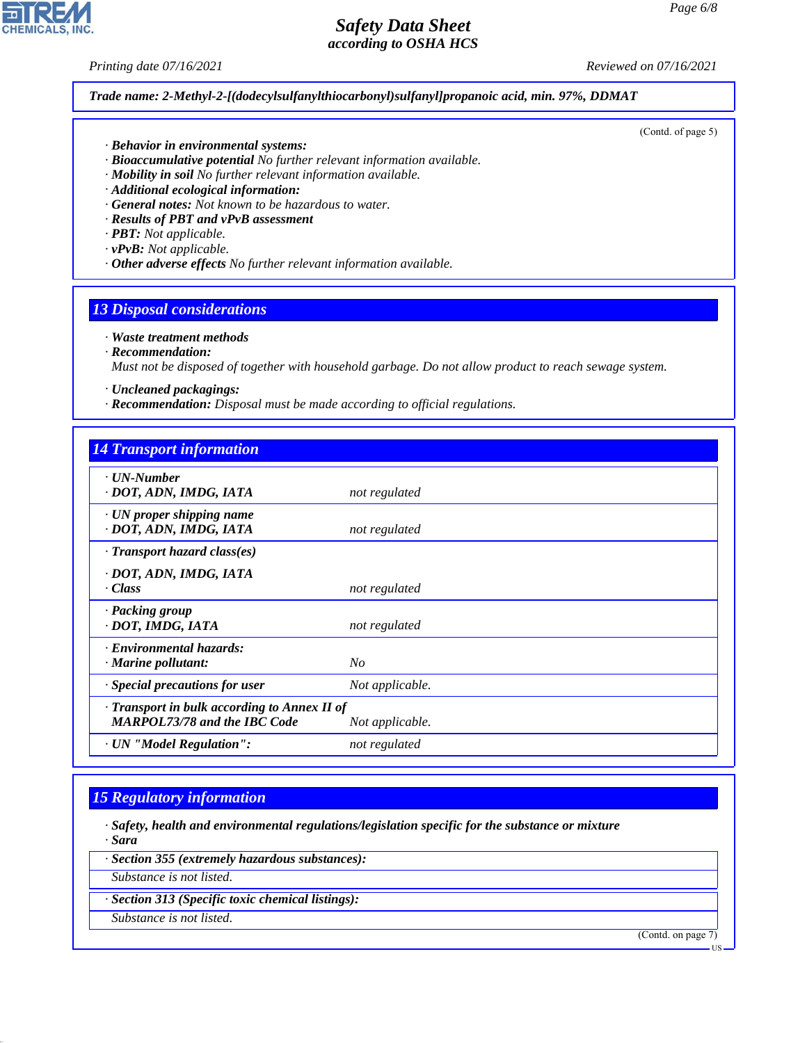(Contd. of page 5)

## *Safety Data Sheet according to OSHA HCS*

**CHEMICALS, INC** 

*Printing date 07/16/2021 Reviewed on 07/16/2021*

*Trade name: 2-Methyl-2-[(dodecylsulfanylthiocarbonyl)sulfanyl]propanoic acid, min. 97%, DDMAT*

- *· Behavior in environmental systems:*
- *· Bioaccumulative potential No further relevant information available.*
- *· Mobility in soil No further relevant information available.*
- *· Additional ecological information:*
- *· General notes: Not known to be hazardous to water.*
- *· Results of PBT and vPvB assessment*
- *· PBT: Not applicable.*
- *· vPvB: Not applicable.*
- *· Other adverse effects No further relevant information available.*

### *13 Disposal considerations*

- *· Waste treatment methods*
- *· Recommendation:*

*Must not be disposed of together with household garbage. Do not allow product to reach sewage system.*

- *· Uncleaned packagings:*
- *· Recommendation: Disposal must be made according to official regulations.*

| <b>14 Transport information</b>                                                     |                 |
|-------------------------------------------------------------------------------------|-----------------|
| $\cdot$ UN-Number<br>· DOT, ADN, IMDG, IATA                                         | not regulated   |
| $\cdot$ UN proper shipping name<br>· DOT, ADN, IMDG, IATA                           | not regulated   |
| $\cdot$ Transport hazard class(es)                                                  |                 |
| · DOT, ADN, IMDG, IATA<br>· Class                                                   | not regulated   |
| · Packing group<br>· DOT, IMDG, IATA                                                | not regulated   |
| · Environmental hazards:<br>$\cdot$ Marine pollutant:                               | No              |
| $\cdot$ Special precautions for user                                                | Not applicable. |
| · Transport in bulk according to Annex II of<br><b>MARPOL73/78 and the IBC Code</b> | Not applicable. |
| · UN "Model Regulation":                                                            | not regulated   |

## *15 Regulatory information*

- *· Safety, health and environmental regulations/legislation specific for the substance or mixture · Sara*
- *· Section 355 (extremely hazardous substances):*
- *Substance is not listed.*
- *· Section 313 (Specific toxic chemical listings):*
- *Substance is not listed.*

44.1.1

(Contd. on page 7)

US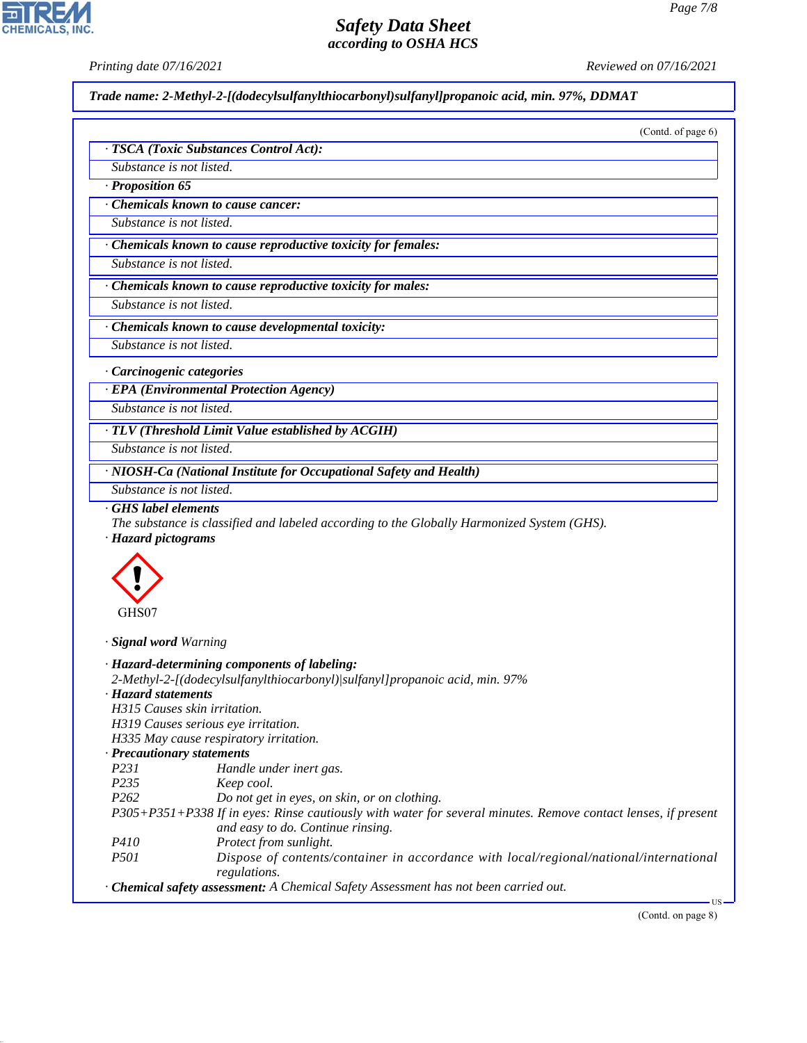CHEMICALS, INC.

44.1.1

*Printing date 07/16/2021 Reviewed on 07/16/2021*

*Trade name: 2-Methyl-2-[(dodecylsulfanylthiocarbonyl)sulfanyl]propanoic acid, min. 97%, DDMAT*

|                                                  | Substance is not listed.                                                                                                                                                                                                                                                                                        |
|--------------------------------------------------|-----------------------------------------------------------------------------------------------------------------------------------------------------------------------------------------------------------------------------------------------------------------------------------------------------------------|
| · Proposition 65                                 |                                                                                                                                                                                                                                                                                                                 |
|                                                  | <b>Chemicals known to cause cancer:</b>                                                                                                                                                                                                                                                                         |
| Substance is not listed.                         |                                                                                                                                                                                                                                                                                                                 |
|                                                  | · Chemicals known to cause reproductive toxicity for females:                                                                                                                                                                                                                                                   |
| Substance is not listed.                         |                                                                                                                                                                                                                                                                                                                 |
|                                                  | Chemicals known to cause reproductive toxicity for males:                                                                                                                                                                                                                                                       |
| Substance is not listed.                         |                                                                                                                                                                                                                                                                                                                 |
|                                                  | Chemicals known to cause developmental toxicity:                                                                                                                                                                                                                                                                |
| Substance is not listed.                         |                                                                                                                                                                                                                                                                                                                 |
| · Carcinogenic categories                        |                                                                                                                                                                                                                                                                                                                 |
|                                                  | · EPA (Environmental Protection Agency)                                                                                                                                                                                                                                                                         |
| Substance is not listed.                         |                                                                                                                                                                                                                                                                                                                 |
|                                                  |                                                                                                                                                                                                                                                                                                                 |
| Substance is not listed.                         | · TLV (Threshold Limit Value established by ACGIH)                                                                                                                                                                                                                                                              |
|                                                  |                                                                                                                                                                                                                                                                                                                 |
|                                                  | · NIOSH-Ca (National Institute for Occupational Safety and Health)                                                                                                                                                                                                                                              |
| Substance is not listed.                         |                                                                                                                                                                                                                                                                                                                 |
| <b>GHS</b> label elements<br>· Hazard pictograms | The substance is classified and labeled according to the Globally Harmonized System (GHS).                                                                                                                                                                                                                      |
|                                                  |                                                                                                                                                                                                                                                                                                                 |
| GHS07                                            |                                                                                                                                                                                                                                                                                                                 |
| · Signal word Warning                            |                                                                                                                                                                                                                                                                                                                 |
|                                                  |                                                                                                                                                                                                                                                                                                                 |
|                                                  | · Hazard-determining components of labeling:<br>2-Methyl-2-[(dodecylsulfanylthiocarbonyl)/sulfanyl]propanoic acid, min. 97%                                                                                                                                                                                     |
| $\cdot$ Hazard statements                        |                                                                                                                                                                                                                                                                                                                 |
|                                                  | H315 Causes skin irritation.                                                                                                                                                                                                                                                                                    |
|                                                  | H319 Causes serious eye irritation.                                                                                                                                                                                                                                                                             |
|                                                  | H335 May cause respiratory irritation.                                                                                                                                                                                                                                                                          |
| · Precautionary statements<br>P231               |                                                                                                                                                                                                                                                                                                                 |
| P235                                             | Handle under inert gas.<br>Keep cool.                                                                                                                                                                                                                                                                           |
| P <sub>262</sub>                                 | Do not get in eyes, on skin, or on clothing.                                                                                                                                                                                                                                                                    |
|                                                  | and easy to do. Continue rinsing.                                                                                                                                                                                                                                                                               |
| P410                                             | Protect from sunlight.                                                                                                                                                                                                                                                                                          |
| P501                                             |                                                                                                                                                                                                                                                                                                                 |
|                                                  | P305+P351+P338 If in eyes: Rinse cautiously with water for several minutes. Remove contact lenses, if present<br>Dispose of contents/container in accordance with local/regional/national/international<br>regulations.<br>· Chemical safety assessment: A Chemical Safety Assessment has not been carried out. |